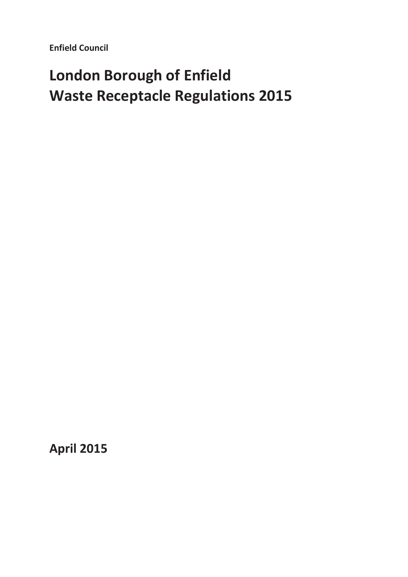**Enfield Council** 

# **London Borough of Enfield Waste Receptacle Regulations 2015**

**April 2015**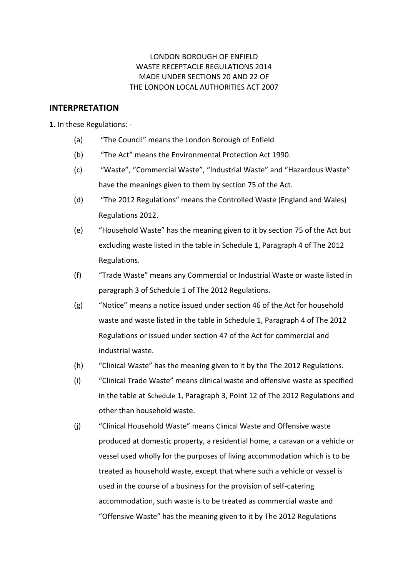### LONDON BOROUGH OF ENFIELD WASTE RECEPTACLE REGULATIONS 2014 MADE UNDER SECTIONS 20 AND 22 OF THE LONDON LOCAL AUTHORITIES ACT 2007

### **INTERPRETATION**

**1.** In these Regulations: -

- (a) "The Council" means the London Borough of Enfield
- (b) "The Act" means the Environmental Protection Act 1990.
- (c) "Waste", "Commercial Waste", "Industrial Waste" and "Hazardous Waste" have the meanings given to them by section 75 of the Act.
- (d) "The 2012 Regulations" means the Controlled Waste (England and Wales) Regulations 2012.
- (e) "Household Waste" has the meaning given to it by section 75 of the Act but excluding waste listed in the table in Schedule 1, Paragraph 4 of The 2012 Regulations.
- (f) "Trade Waste" means any Commercial or Industrial Waste or waste listed in paragraph 3 of Schedule 1 of The 2012 Regulations.
- (g) "Notice" means a notice issued under section 46 of the Act for household waste and waste listed in the table in Schedule 1, Paragraph 4 of The 2012 Regulations or issued under section 47 of the Act for commercial and industrial waste.
- (h) "Clinical Waste" has the meaning given to it by the The 2012 Regulations.
- (i) "Clinical Trade Waste" means clinical waste and offensive waste as specified in the table at Schedule 1, Paragraph 3, Point 12 of The 2012 Regulations and other than household waste.
- (j) "Clinical Household Waste" means Clinical Waste and Offensive waste produced at domestic property, a residential home, a caravan or a vehicle or vessel used wholly for the purposes of living accommodation which is to be treated as household waste, except that where such a vehicle or vessel is used in the course of a business for the provision of self-catering accommodation, such waste is to be treated as commercial waste and "Offensive Waste" has the meaning given to it by The 2012 Regulations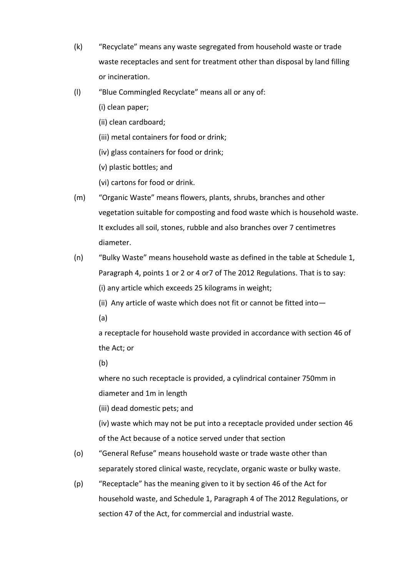- (k) "Recyclate" means any waste segregated from household waste or trade waste receptacles and sent for treatment other than disposal by land filling or incineration.
- (l) "Blue Commingled Recyclate" means all or any of:
	- (i) clean paper;
	- (ii) clean cardboard;
	- (iii) metal containers for food or drink;
	- (iv) glass containers for food or drink;
	- (v) plastic bottles; and
	- (vi) cartons for food or drink.
- (m) "Organic Waste" means flowers, plants, shrubs, branches and other vegetation suitable for composting and food waste which is household waste. It excludes all soil, stones, rubble and also branches over 7 centimetres diameter.
- (n) "Bulky Waste" means household waste as defined in the table at Schedule 1, Paragraph 4, points 1 or 2 or 4 or7 of The 2012 Regulations. That is to say: (i) any article which exceeds 25 kilograms in weight;
	- (ii) Any article of waste which does not fit or cannot be fitted into—
	- (a)

a receptacle for household waste provided in accordance with section 46 of the Act; or

(b)

where no such receptacle is provided, a cylindrical container 750mm in diameter and 1m in length

- (iii) dead domestic pets; and
- (iv) waste which may not be put into a receptacle provided under section 46 of the Act because of a notice served under that section
- (o) "General Refuse" means household waste or trade waste other than separately stored clinical waste, recyclate, organic waste or bulky waste.
- (p) "Receptacle" has the meaning given to it by section 46 of the Act for household waste, and Schedule 1, Paragraph 4 of The 2012 Regulations, or section 47 of the Act, for commercial and industrial waste.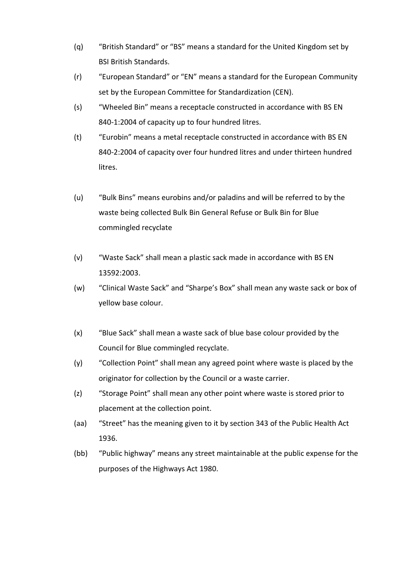- (q) "British Standard" or "BS" means a standard for the United Kingdom set by BSI British Standards.
- (r) "European Standard" or "EN" means a standard for the European Community set by the European Committee for Standardization (CEN).
- (s) "Wheeled Bin" means a receptacle constructed in accordance with BS EN 840-1:2004 of capacity up to four hundred litres.
- (t) "Eurobin" means a metal receptacle constructed in accordance with BS EN 840-2:2004 of capacity over four hundred litres and under thirteen hundred litres.
- (u) "Bulk Bins" means eurobins and/or paladins and will be referred to by the waste being collected Bulk Bin General Refuse or Bulk Bin for Blue commingled recyclate
- (v) "Waste Sack" shall mean a plastic sack made in accordance with BS EN 13592:2003.
- (w) "Clinical Waste Sack" and "Sharpe's Box" shall mean any waste sack or box of yellow base colour.
- (x) "Blue Sack" shall mean a waste sack of blue base colour provided by the Council for Blue commingled recyclate.
- (y) "Collection Point" shall mean any agreed point where waste is placed by the originator for collection by the Council or a waste carrier.
- (z) "Storage Point" shall mean any other point where waste is stored prior to placement at the collection point.
- (aa) "Street" has the meaning given to it by section 343 of the Public Health Act 1936.
- (bb) "Public highway" means any street maintainable at the public expense for the purposes of the Highways Act 1980.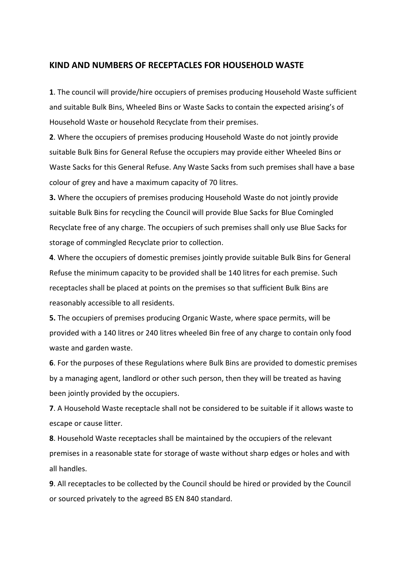#### **KIND AND NUMBERS OF RECEPTACLES FOR HOUSEHOLD WASTE**

**1**. The council will provide/hire occupiers of premises producing Household Waste sufficient and suitable Bulk Bins, Wheeled Bins or Waste Sacks to contain the expected arising's of Household Waste or household Recyclate from their premises.

**2**. Where the occupiers of premises producing Household Waste do not jointly provide suitable Bulk Bins for General Refuse the occupiers may provide either Wheeled Bins or Waste Sacks for this General Refuse. Any Waste Sacks from such premises shall have a base colour of grey and have a maximum capacity of 70 litres.

**3.** Where the occupiers of premises producing Household Waste do not jointly provide suitable Bulk Bins for recycling the Council will provide Blue Sacks for Blue Comingled Recyclate free of any charge. The occupiers of such premises shall only use Blue Sacks for storage of commingled Recyclate prior to collection.

**4**. Where the occupiers of domestic premises jointly provide suitable Bulk Bins for General Refuse the minimum capacity to be provided shall be 140 litres for each premise. Such receptacles shall be placed at points on the premises so that sufficient Bulk Bins are reasonably accessible to all residents.

**5.** The occupiers of premises producing Organic Waste, where space permits, will be provided with a 140 litres or 240 litres wheeled Bin free of any charge to contain only food waste and garden waste.

**6**. For the purposes of these Regulations where Bulk Bins are provided to domestic premises by a managing agent, landlord or other such person, then they will be treated as having been jointly provided by the occupiers.

**7**. A Household Waste receptacle shall not be considered to be suitable if it allows waste to escape or cause litter.

**8**. Household Waste receptacles shall be maintained by the occupiers of the relevant premises in a reasonable state for storage of waste without sharp edges or holes and with all handles.

**9**. All receptacles to be collected by the Council should be hired or provided by the Council or sourced privately to the agreed BS EN 840 standard.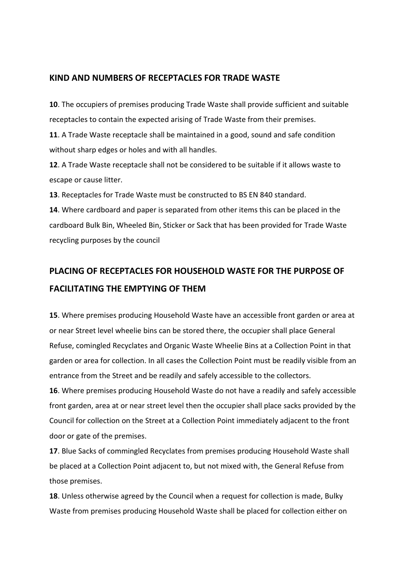### **KIND AND NUMBERS OF RECEPTACLES FOR TRADE WASTE**

**10**. The occupiers of premises producing Trade Waste shall provide sufficient and suitable receptacles to contain the expected arising of Trade Waste from their premises.

**11**. A Trade Waste receptacle shall be maintained in a good, sound and safe condition without sharp edges or holes and with all handles.

**12**. A Trade Waste receptacle shall not be considered to be suitable if it allows waste to escape or cause litter.

**13**. Receptacles for Trade Waste must be constructed to BS EN 840 standard.

**14**. Where cardboard and paper is separated from other items this can be placed in the cardboard Bulk Bin, Wheeled Bin, Sticker or Sack that has been provided for Trade Waste recycling purposes by the council

# **PLACING OF RECEPTACLES FOR HOUSEHOLD WASTE FOR THE PURPOSE OF FACILITATING THE EMPTYING OF THEM**

**15**. Where premises producing Household Waste have an accessible front garden or area at or near Street level wheelie bins can be stored there, the occupier shall place General Refuse, comingled Recyclates and Organic Waste Wheelie Bins at a Collection Point in that garden or area for collection. In all cases the Collection Point must be readily visible from an entrance from the Street and be readily and safely accessible to the collectors.

**16**. Where premises producing Household Waste do not have a readily and safely accessible front garden, area at or near street level then the occupier shall place sacks provided by the Council for collection on the Street at a Collection Point immediately adjacent to the front door or gate of the premises.

**17**. Blue Sacks of commingled Recyclates from premises producing Household Waste shall be placed at a Collection Point adjacent to, but not mixed with, the General Refuse from those premises.

**18**. Unless otherwise agreed by the Council when a request for collection is made, Bulky Waste from premises producing Household Waste shall be placed for collection either on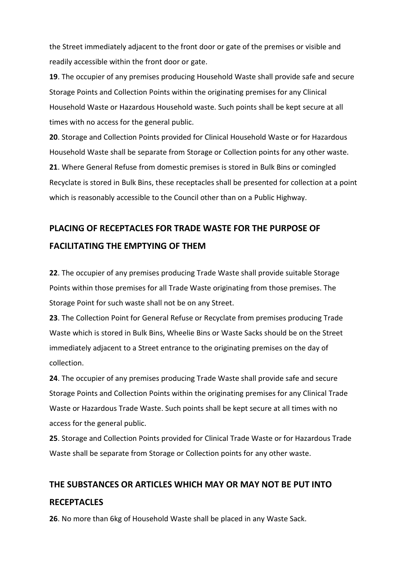the Street immediately adjacent to the front door or gate of the premises or visible and readily accessible within the front door or gate.

**19**. The occupier of any premises producing Household Waste shall provide safe and secure Storage Points and Collection Points within the originating premises for any Clinical Household Waste or Hazardous Household waste. Such points shall be kept secure at all times with no access for the general public.

**20**. Storage and Collection Points provided for Clinical Household Waste or for Hazardous Household Waste shall be separate from Storage or Collection points for any other waste. **21**. Where General Refuse from domestic premises is stored in Bulk Bins or comingled Recyclate is stored in Bulk Bins, these receptacles shall be presented for collection at a point which is reasonably accessible to the Council other than on a Public Highway.

# **PLACING OF RECEPTACLES FOR TRADE WASTE FOR THE PURPOSE OF FACILITATING THE EMPTYING OF THEM**

**22**. The occupier of any premises producing Trade Waste shall provide suitable Storage Points within those premises for all Trade Waste originating from those premises. The Storage Point for such waste shall not be on any Street.

**23**. The Collection Point for General Refuse or Recyclate from premises producing Trade Waste which is stored in Bulk Bins, Wheelie Bins or Waste Sacks should be on the Street immediately adjacent to a Street entrance to the originating premises on the day of collection.

**24**. The occupier of any premises producing Trade Waste shall provide safe and secure Storage Points and Collection Points within the originating premises for any Clinical Trade Waste or Hazardous Trade Waste. Such points shall be kept secure at all times with no access for the general public.

**25**. Storage and Collection Points provided for Clinical Trade Waste or for Hazardous Trade Waste shall be separate from Storage or Collection points for any other waste.

# **THE SUBSTANCES OR ARTICLES WHICH MAY OR MAY NOT BE PUT INTO RECEPTACLES**

**26**. No more than 6kg of Household Waste shall be placed in any Waste Sack.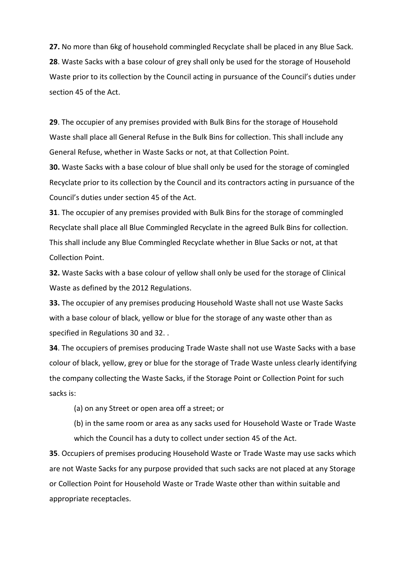**27.** No more than 6kg of household commingled Recyclate shall be placed in any Blue Sack. **28**. Waste Sacks with a base colour of grey shall only be used for the storage of Household Waste prior to its collection by the Council acting in pursuance of the Council's duties under section 45 of the Act.

**29**. The occupier of any premises provided with Bulk Bins for the storage of Household Waste shall place all General Refuse in the Bulk Bins for collection. This shall include any General Refuse, whether in Waste Sacks or not, at that Collection Point.

**30.** Waste Sacks with a base colour of blue shall only be used for the storage of comingled Recyclate prior to its collection by the Council and its contractors acting in pursuance of the Council's duties under section 45 of the Act.

**31**. The occupier of any premises provided with Bulk Bins for the storage of commingled Recyclate shall place all Blue Commingled Recyclate in the agreed Bulk Bins for collection. This shall include any Blue Commingled Recyclate whether in Blue Sacks or not, at that Collection Point.

**32.** Waste Sacks with a base colour of yellow shall only be used for the storage of Clinical Waste as defined by the 2012 Regulations.

**33.** The occupier of any premises producing Household Waste shall not use Waste Sacks with a base colour of black, yellow or blue for the storage of any waste other than as specified in Regulations 30 and 32. .

**34**. The occupiers of premises producing Trade Waste shall not use Waste Sacks with a base colour of black, yellow, grey or blue for the storage of Trade Waste unless clearly identifying the company collecting the Waste Sacks, if the Storage Point or Collection Point for such sacks is:

(a) on any Street or open area off a street; or

(b) in the same room or area as any sacks used for Household Waste or Trade Waste which the Council has a duty to collect under section 45 of the Act.

**35**. Occupiers of premises producing Household Waste or Trade Waste may use sacks which are not Waste Sacks for any purpose provided that such sacks are not placed at any Storage or Collection Point for Household Waste or Trade Waste other than within suitable and appropriate receptacles.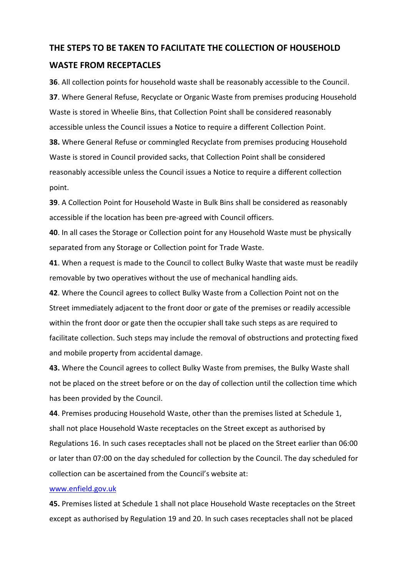## **THE STEPS TO BE TAKEN TO FACILITATE THE COLLECTION OF HOUSEHOLD**

### **WASTE FROM RECEPTACLES**

**36**. All collection points for household waste shall be reasonably accessible to the Council. **37**. Where General Refuse, Recyclate or Organic Waste from premises producing Household Waste is stored in Wheelie Bins, that Collection Point shall be considered reasonably accessible unless the Council issues a Notice to require a different Collection Point. **38.** Where General Refuse or commingled Recyclate from premises producing Household Waste is stored in Council provided sacks, that Collection Point shall be considered reasonably accessible unless the Council issues a Notice to require a different collection point.

**39**. A Collection Point for Household Waste in Bulk Bins shall be considered as reasonably accessible if the location has been pre-agreed with Council officers.

**40**. In all cases the Storage or Collection point for any Household Waste must be physically separated from any Storage or Collection point for Trade Waste.

**41**. When a request is made to the Council to collect Bulky Waste that waste must be readily removable by two operatives without the use of mechanical handling aids.

**42**. Where the Council agrees to collect Bulky Waste from a Collection Point not on the Street immediately adjacent to the front door or gate of the premises or readily accessible within the front door or gate then the occupier shall take such steps as are required to facilitate collection. Such steps may include the removal of obstructions and protecting fixed and mobile property from accidental damage.

**43.** Where the Council agrees to collect Bulky Waste from premises, the Bulky Waste shall not be placed on the street before or on the day of collection until the collection time which has been provided by the Council.

**44**. Premises producing Household Waste, other than the premises listed at Schedule 1, shall not place Household Waste receptacles on the Street except as authorised by Regulations 16. In such cases receptacles shall not be placed on the Street earlier than 06:00 or later than 07:00 on the day scheduled for collection by the Council. The day scheduled for collection can be ascertained from the Council's website at:

#### [www.enfield.gov.uk](http://www.enfield.gov.uk/)

**45.** Premises listed at Schedule 1 shall not place Household Waste receptacles on the Street except as authorised by Regulation 19 and 20. In such cases receptacles shall not be placed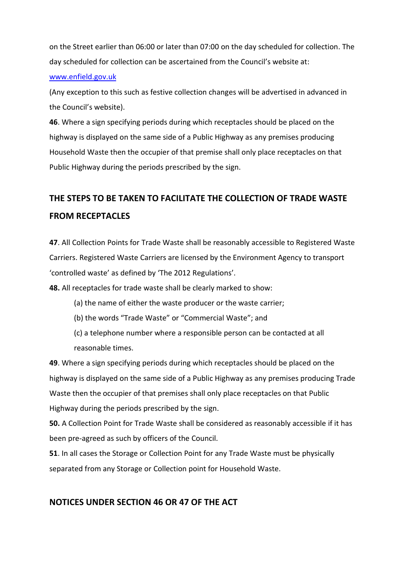on the Street earlier than 06:00 or later than 07:00 on the day scheduled for collection. The day scheduled for collection can be ascertained from the Council's website at:

#### [www.enfield.gov.uk](http://www.enfield.gov.uk/)

(Any exception to this such as festive collection changes will be advertised in advanced in the Council's website).

**46**. Where a sign specifying periods during which receptacles should be placed on the highway is displayed on the same side of a Public Highway as any premises producing Household Waste then the occupier of that premise shall only place receptacles on that Public Highway during the periods prescribed by the sign.

# **THE STEPS TO BE TAKEN TO FACILITATE THE COLLECTION OF TRADE WASTE FROM RECEPTACLES**

**47**. All Collection Points for Trade Waste shall be reasonably accessible to Registered Waste Carriers. Registered Waste Carriers are licensed by the Environment Agency to transport 'controlled waste' as defined by 'The 2012 Regulations'.

**48.** All receptacles for trade waste shall be clearly marked to show:

- (a) the name of either the waste producer or the waste carrier;
- (b) the words "Trade Waste" or "Commercial Waste"; and
- (c) a telephone number where a responsible person can be contacted at all reasonable times.

**49**. Where a sign specifying periods during which receptacles should be placed on the highway is displayed on the same side of a Public Highway as any premises producing Trade Waste then the occupier of that premises shall only place receptacles on that Public Highway during the periods prescribed by the sign.

**50.** A Collection Point for Trade Waste shall be considered as reasonably accessible if it has been pre-agreed as such by officers of the Council.

**51**. In all cases the Storage or Collection Point for any Trade Waste must be physically separated from any Storage or Collection point for Household Waste.

# **NOTICES UNDER SECTION 46 OR 47 OF THE ACT**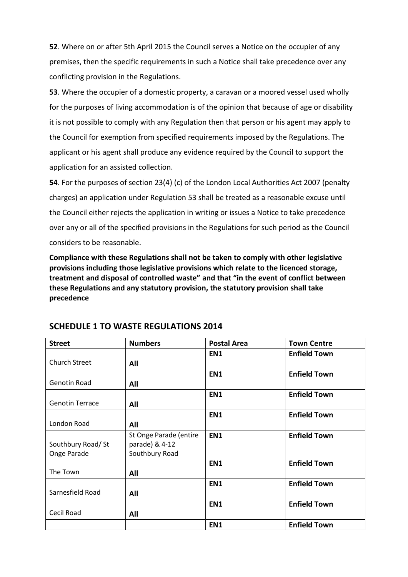**52**. Where on or after 5th April 2015 the Council serves a Notice on the occupier of any premises, then the specific requirements in such a Notice shall take precedence over any conflicting provision in the Regulations.

**53**. Where the occupier of a domestic property, a caravan or a moored vessel used wholly for the purposes of living accommodation is of the opinion that because of age or disability it is not possible to comply with any Regulation then that person or his agent may apply to the Council for exemption from specified requirements imposed by the Regulations. The applicant or his agent shall produce any evidence required by the Council to support the application for an assisted collection.

**54**. For the purposes of section 23(4) (c) of the London Local Authorities Act 2007 (penalty charges) an application under Regulation 53 shall be treated as a reasonable excuse until the Council either rejects the application in writing or issues a Notice to take precedence over any or all of the specified provisions in the Regulations for such period as the Council considers to be reasonable.

**Compliance with these Regulations shall not be taken to comply with other legislative provisions including those legislative provisions which relate to the licenced storage, treatment and disposal of controlled waste" and that "in the event of conflict between these Regulations and any statutory provision, the statutory provision shall take precedence** 

| <b>Street</b>          | <b>Numbers</b>         | <b>Postal Area</b> | <b>Town Centre</b>  |
|------------------------|------------------------|--------------------|---------------------|
|                        |                        | EN1                | <b>Enfield Town</b> |
| <b>Church Street</b>   | All                    |                    |                     |
|                        |                        | EN <sub>1</sub>    | <b>Enfield Town</b> |
| <b>Genotin Road</b>    | All                    |                    |                     |
|                        |                        | EN1                | <b>Enfield Town</b> |
| <b>Genotin Terrace</b> | All                    |                    |                     |
|                        |                        | EN1                | <b>Enfield Town</b> |
| London Road            | All                    |                    |                     |
|                        | St Onge Parade (entire | EN <sub>1</sub>    | <b>Enfield Town</b> |
| Southbury Road/ St     | parade) & 4-12         |                    |                     |
| Onge Parade            | Southbury Road         |                    |                     |
|                        |                        | EN1                | <b>Enfield Town</b> |
| The Town               | All                    |                    |                     |
|                        |                        | EN1                | <b>Enfield Town</b> |
| Sarnesfield Road       | All                    |                    |                     |
|                        |                        | EN <sub>1</sub>    | <b>Enfield Town</b> |
| Cecil Road             | All                    |                    |                     |
|                        |                        | EN <sub>1</sub>    | <b>Enfield Town</b> |

### **SCHEDULE 1 TO WASTE REGULATIONS 2014**